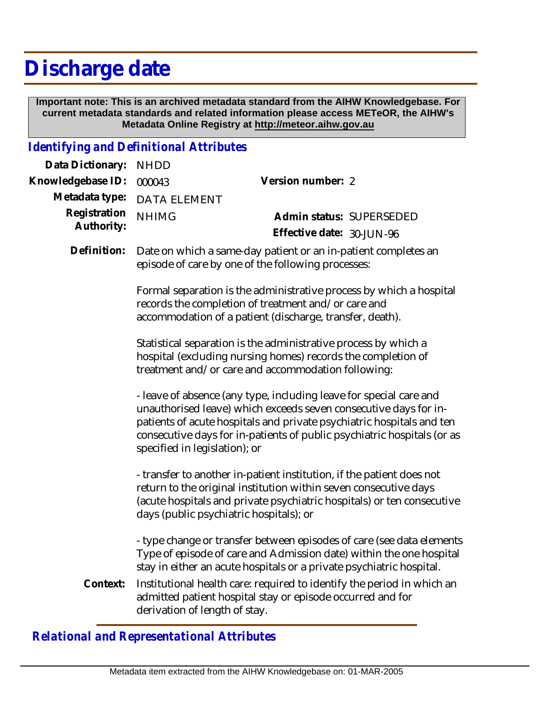## **Discharge date**

 **Important note: This is an archived metadata standard from the AIHW Knowledgebase. For current metadata standards and related information please access METeOR, the AIHW's Metadata Online Registry at http://meteor.aihw.gov.au**

## *Identifying and Definitional Attributes*

| Data Dictionary:           | <b>NHDD</b>                                                                                                                                                                                                                                                                                                                 |                                                                                                                                                                                                                      |
|----------------------------|-----------------------------------------------------------------------------------------------------------------------------------------------------------------------------------------------------------------------------------------------------------------------------------------------------------------------------|----------------------------------------------------------------------------------------------------------------------------------------------------------------------------------------------------------------------|
| Knowledgebase ID:          | 000043                                                                                                                                                                                                                                                                                                                      | Version number: 2                                                                                                                                                                                                    |
| Metadata type:             | <b>DATA ELEMENT</b>                                                                                                                                                                                                                                                                                                         |                                                                                                                                                                                                                      |
| Registration<br>Authority: | <b>NHIMG</b>                                                                                                                                                                                                                                                                                                                | Admin status: SUPERSEDED                                                                                                                                                                                             |
|                            |                                                                                                                                                                                                                                                                                                                             | Effective date: 30-JUN-96                                                                                                                                                                                            |
| Definition:                | Date on which a same-day patient or an in-patient completes an<br>episode of care by one of the following processes:                                                                                                                                                                                                        |                                                                                                                                                                                                                      |
|                            | Formal separation is the administrative process by which a hospital<br>records the completion of treatment and/or care and<br>accommodation of a patient (discharge, transfer, death).                                                                                                                                      |                                                                                                                                                                                                                      |
|                            |                                                                                                                                                                                                                                                                                                                             | Statistical separation is the administrative process by which a<br>hospital (excluding nursing homes) records the completion of<br>treatment and/or care and accommodation following:                                |
|                            | - leave of absence (any type, including leave for special care and<br>unauthorised leave) which exceeds seven consecutive days for in-<br>patients of acute hospitals and private psychiatric hospitals and ten<br>consecutive days for in-patients of public psychiatric hospitals (or as<br>specified in legislation); or |                                                                                                                                                                                                                      |
|                            | days (public psychiatric hospitals); or                                                                                                                                                                                                                                                                                     | - transfer to another in-patient institution, if the patient does not<br>return to the original institution within seven consecutive days<br>(acute hospitals and private psychiatric hospitals) or ten consecutive  |
|                            |                                                                                                                                                                                                                                                                                                                             | - type change or transfer between episodes of care (see data elements<br>Type of episode of care and Admission date) within the one hospital<br>stay in either an acute hospitals or a private psychiatric hospital. |
| Context:                   | derivation of length of stay.                                                                                                                                                                                                                                                                                               | Institutional health care: required to identify the period in which an<br>admitted patient hospital stay or episode occurred and for                                                                                 |

*Relational and Representational Attributes*